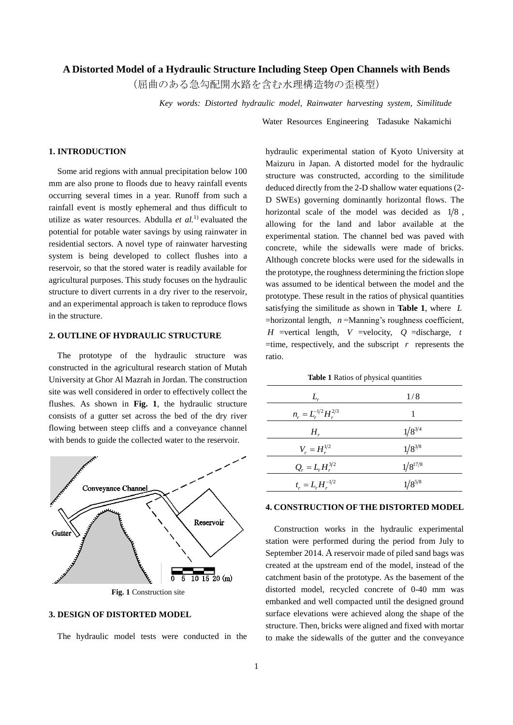### **A Distorted Model of a Hydraulic Structure Including Steep Open Channels with Bends**

(屈曲のある急勾配開水路を含む水理構造物の歪模型)

*Key words: Distorted hydraulic model, Rainwater harvesting system, Similitude*

Water Resources Engineering Tadasuke Nakamichi

## **1. INTRODUCTION**

Some arid regions with annual precipitation below 100 mm are also prone to floods due to heavy rainfall events occurring several times in a year. Runoff from such a rainfall event is mostly ephemeral and thus difficult to utilize as water resources. Abdulla *et al.*1) evaluated the potential for potable water savings by using rainwater in residential sectors. A novel type of rainwater harvesting system is being developed to collect flushes into a reservoir, so that the stored water is readily available for agricultural purposes. This study focuses on the hydraulic structure to divert currents in a dry river to the reservoir, and an experimental approach is taken to reproduce flows in the structure.

### **2. OUTLINE OF HYDRAULIC STRUCTURE**

The prototype of the hydraulic structure was constructed in the agricultural research station of Mutah University at Ghor Al Mazrah in Jordan. The construction site was well considered in order to effectively collect the flushes. As shown in **Fig. 1**, the hydraulic structure consists of a gutter set across the bed of the dry river flowing between steep cliffs and a conveyance channel with bends to guide the collected water to the reservoir.



**Fig. 1** Construction site

## **3. DESIGN OF DISTORTED MODEL**

The hydraulic model tests were conducted in the

hydraulic experimental station of Kyoto University at Maizuru in Japan. A distorted model for the hydraulic structure was constructed, according to the similitude deduced directly from the 2-D shallow water equations (2- D SWEs) governing dominantly horizontal flows. The horizontal scale of the model was decided as  $1/8$ , allowing for the land and labor available at the experimental station. The channel bed was paved with concrete, while the sidewalls were made of bricks. Although concrete blocks were used for the sidewalls in the prototype, the roughness determining the friction slope was assumed to be identical between the model and the prototype. These result in the ratios of physical quantities satisfying the similitude as shown in **Table 1**, where *L*  $=$ horizontal length,  $n =$ Manning's roughness coefficient, *H* =vertical length, *V* =velocity,  $Q$  =discharge, *t*  $=$ time, respectively, and the subscript  $r$  represents the ratio.

| $L_{r}$                      | 1/8          |
|------------------------------|--------------|
| $n_r = L_r^{-1/2} H_r^{2/3}$ | 1            |
| $H_r$                        | $1/8^{3/4}$  |
| $V_r = H_r^{1/2}$            | $1/8^{3/8}$  |
| $Q_r = L_r H_r^{3/2}$        | $1/8^{17/8}$ |
| $t_r = L_r H_r^{-1/2}$       | $1/8^{5/8}$  |

### **Table 1** Ratios of physical quantities

### **4. CONSTRUCTION OF THE DISTORTED MODEL**

Construction works in the hydraulic experimental station were performed during the period from July to September 2014. A reservoir made of piled sand bags was created at the upstream end of the model, instead of the catchment basin of the prototype. As the basement of the distorted model, recycled concrete of 0-40 mm was embanked and well compacted until the designed ground surface elevations were achieved along the shape of the structure. Then, bricks were aligned and fixed with mortar to make the sidewalls of the gutter and the conveyance